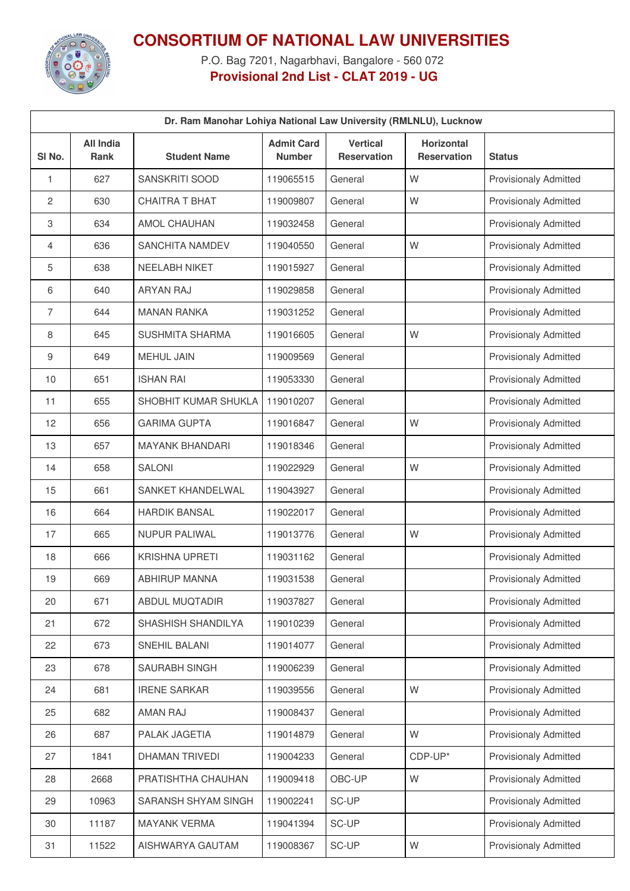

## **CONSORTIUM OF NATIONAL LAW UNIVERSITIES**

P.O. Bag 7201, Nagarbhavi, Bangalore - 560 072 **Provisional 2nd List - CLAT 2019 - UG**

| Dr. Ram Manohar Lohiya National Law University (RMLNLU), Lucknow |                          |                        |                                    |                                       |                                  |                              |  |  |
|------------------------------------------------------------------|--------------------------|------------------------|------------------------------------|---------------------------------------|----------------------------------|------------------------------|--|--|
| SI No.                                                           | <b>All India</b><br>Rank | <b>Student Name</b>    | <b>Admit Card</b><br><b>Number</b> | <b>Vertical</b><br><b>Reservation</b> | Horizontal<br><b>Reservation</b> | <b>Status</b>                |  |  |
| 1                                                                | 627                      | SANSKRITI SOOD         | 119065515                          | General                               | W                                | <b>Provisionaly Admitted</b> |  |  |
| 2                                                                | 630                      | <b>CHAITRA T BHAT</b>  | 119009807                          | General                               | W                                | <b>Provisionaly Admitted</b> |  |  |
| 3                                                                | 634                      | AMOL CHAUHAN           | 119032458                          | General                               |                                  | <b>Provisionaly Admitted</b> |  |  |
| 4                                                                | 636                      | SANCHITA NAMDEV        | 119040550                          | General                               | W                                | <b>Provisionaly Admitted</b> |  |  |
| 5                                                                | 638                      | <b>NEELABH NIKET</b>   | 119015927                          | General                               |                                  | <b>Provisionaly Admitted</b> |  |  |
| 6                                                                | 640                      | <b>ARYAN RAJ</b>       | 119029858                          | General                               |                                  | <b>Provisionaly Admitted</b> |  |  |
| 7                                                                | 644                      | <b>MANAN RANKA</b>     | 119031252                          | General                               |                                  | <b>Provisionaly Admitted</b> |  |  |
| 8                                                                | 645                      | <b>SUSHMITA SHARMA</b> | 119016605                          | General                               | W                                | <b>Provisionaly Admitted</b> |  |  |
| 9                                                                | 649                      | <b>MEHUL JAIN</b>      | 119009569                          | General                               |                                  | <b>Provisionaly Admitted</b> |  |  |
| 10                                                               | 651                      | <b>ISHAN RAI</b>       | 119053330                          | General                               |                                  | <b>Provisionaly Admitted</b> |  |  |
| 11                                                               | 655                      | SHOBHIT KUMAR SHUKLA   | 119010207                          | General                               |                                  | <b>Provisionaly Admitted</b> |  |  |
| 12                                                               | 656                      | <b>GARIMA GUPTA</b>    | 119016847                          | General                               | W                                | Provisionaly Admitted        |  |  |
| 13                                                               | 657                      | <b>MAYANK BHANDARI</b> | 119018346                          | General                               |                                  | <b>Provisionaly Admitted</b> |  |  |
| 14                                                               | 658                      | <b>SALONI</b>          | 119022929                          | General                               | W                                | <b>Provisionaly Admitted</b> |  |  |
| 15                                                               | 661                      | SANKET KHANDELWAL      | 119043927                          | General                               |                                  | <b>Provisionaly Admitted</b> |  |  |
| 16                                                               | 664                      | <b>HARDIK BANSAL</b>   | 119022017                          | General                               |                                  | <b>Provisionaly Admitted</b> |  |  |
| 17                                                               | 665                      | <b>NUPUR PALIWAL</b>   | 119013776                          | General                               | W                                | <b>Provisionaly Admitted</b> |  |  |
| 18                                                               | 666                      | <b>KRISHNA UPRETI</b>  | 119031162                          | General                               |                                  | <b>Provisionaly Admitted</b> |  |  |
| 19                                                               | 669                      | <b>ABHIRUP MANNA</b>   | 119031538                          | General                               |                                  | <b>Provisionaly Admitted</b> |  |  |
| 20                                                               | 671                      | ABDUL MUQTADIR         | 119037827                          | General                               |                                  | <b>Provisionaly Admitted</b> |  |  |
| 21                                                               | 672                      | SHASHISH SHANDILYA     | 119010239                          | General                               |                                  | <b>Provisionaly Admitted</b> |  |  |
| 22                                                               | 673                      | SNEHIL BALANI          | 119014077                          | General                               |                                  | <b>Provisionaly Admitted</b> |  |  |
| 23                                                               | 678                      | SAURABH SINGH          | 119006239                          | General                               |                                  | <b>Provisionaly Admitted</b> |  |  |
| 24                                                               | 681                      | <b>IRENE SARKAR</b>    | 119039556                          | General                               | W                                | <b>Provisionaly Admitted</b> |  |  |
| 25                                                               | 682                      | <b>AMAN RAJ</b>        | 119008437                          | General                               |                                  | <b>Provisionaly Admitted</b> |  |  |
| 26                                                               | 687                      | PALAK JAGETIA          | 119014879                          | General                               | W                                | <b>Provisionaly Admitted</b> |  |  |
| 27                                                               | 1841                     | DHAMAN TRIVEDI         | 119004233                          | General                               | CDP-UP*                          | <b>Provisionaly Admitted</b> |  |  |
| 28                                                               | 2668                     | PRATISHTHA CHAUHAN     | 119009418                          | OBC-UP                                | W                                | <b>Provisionaly Admitted</b> |  |  |
| 29                                                               | 10963                    | SARANSH SHYAM SINGH    | 119002241                          | SC-UP                                 |                                  | <b>Provisionaly Admitted</b> |  |  |
| 30                                                               | 11187                    | MAYANK VERMA           | 119041394                          | SC-UP                                 |                                  | <b>Provisionaly Admitted</b> |  |  |
| 31                                                               | 11522                    | AISHWARYA GAUTAM       | 119008367                          | SC-UP                                 | W                                | Provisionaly Admitted        |  |  |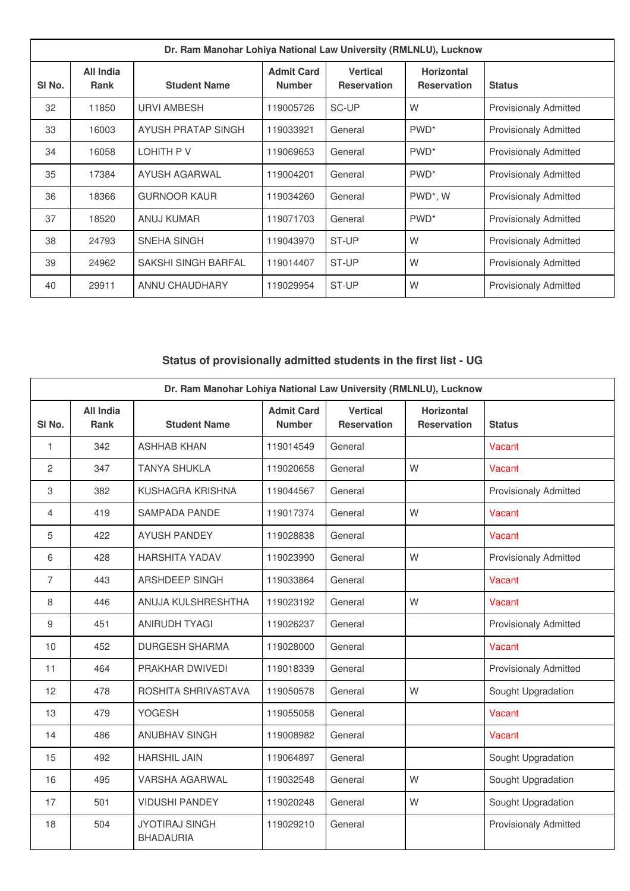| Dr. Ram Manohar Lohiya National Law University (RMLNLU), Lucknow |                          |                     |                                    |                                       |                                         |                              |  |
|------------------------------------------------------------------|--------------------------|---------------------|------------------------------------|---------------------------------------|-----------------------------------------|------------------------------|--|
| SI No.                                                           | All India<br><b>Rank</b> | <b>Student Name</b> | <b>Admit Card</b><br><b>Number</b> | <b>Vertical</b><br><b>Reservation</b> | <b>Horizontal</b><br><b>Reservation</b> | <b>Status</b>                |  |
| 32                                                               | 11850                    | <b>URVI AMBESH</b>  | 119005726                          | SC-UP                                 | W                                       | <b>Provisionaly Admitted</b> |  |
| 33                                                               | 16003                    | AYUSH PRATAP SINGH  | 119033921                          | General                               | PWD <sup>*</sup>                        | <b>Provisionaly Admitted</b> |  |
| 34                                                               | 16058                    | LOHITH P V          | 119069653                          | General                               | PWD <sup>*</sup>                        | <b>Provisionaly Admitted</b> |  |
| 35                                                               | 17384                    | AYUSH AGARWAL       | 119004201                          | General                               | PWD <sup>*</sup>                        | <b>Provisionaly Admitted</b> |  |
| 36                                                               | 18366                    | <b>GURNOOR KAUR</b> | 119034260                          | General                               | PWD <sup>*</sup> , W                    | <b>Provisionaly Admitted</b> |  |
| 37                                                               | 18520                    | <b>ANUJ KUMAR</b>   | 119071703                          | General                               | PWD <sup>*</sup>                        | <b>Provisionaly Admitted</b> |  |
| 38                                                               | 24793                    | SNEHA SINGH         | 119043970                          | ST-UP                                 | W                                       | <b>Provisionaly Admitted</b> |  |
| 39                                                               | 24962                    | SAKSHI SINGH BARFAL | 119014407                          | ST-UP                                 | W                                       | <b>Provisionaly Admitted</b> |  |
| 40                                                               | 29911                    | ANNU CHAUDHARY      | 119029954                          | ST-UP                                 | W                                       | <b>Provisionaly Admitted</b> |  |

## **Status of provisionally admitted students in the first list - UG**

| Dr. Ram Manohar Lohiya National Law University (RMLNLU), Lucknow |                                 |                                           |                                    |                                       |                                         |                              |  |  |
|------------------------------------------------------------------|---------------------------------|-------------------------------------------|------------------------------------|---------------------------------------|-----------------------------------------|------------------------------|--|--|
| SI No.                                                           | <b>All India</b><br><b>Rank</b> | <b>Student Name</b>                       | <b>Admit Card</b><br><b>Number</b> | <b>Vertical</b><br><b>Reservation</b> | <b>Horizontal</b><br><b>Reservation</b> | <b>Status</b>                |  |  |
| 1                                                                | 342                             | <b>ASHHAB KHAN</b>                        | 119014549                          | General                               |                                         | Vacant                       |  |  |
| $\overline{2}$                                                   | 347                             | <b>TANYA SHUKLA</b>                       | 119020658                          | General                               | W                                       | Vacant                       |  |  |
| 3                                                                | 382                             | KUSHAGRA KRISHNA                          | 119044567                          | General                               |                                         | <b>Provisionaly Admitted</b> |  |  |
| $\overline{4}$                                                   | 419                             | <b>SAMPADA PANDE</b>                      | 119017374                          | General                               | W                                       | Vacant                       |  |  |
| 5                                                                | 422                             | <b>AYUSH PANDEY</b>                       | 119028838                          | General                               |                                         | Vacant                       |  |  |
| 6                                                                | 428                             | <b>HARSHITA YADAV</b>                     | 119023990                          | General                               | W                                       | <b>Provisionaly Admitted</b> |  |  |
| $\overline{7}$                                                   | 443                             | ARSHDEEP SINGH                            | 119033864                          | General                               |                                         | Vacant                       |  |  |
| 8                                                                | 446                             | ANUJA KULSHRESHTHA                        | 119023192                          | General                               | W                                       | Vacant                       |  |  |
| 9                                                                | 451                             | ANIRUDH TYAGI                             | 119026237                          | General                               |                                         | <b>Provisionaly Admitted</b> |  |  |
| 10                                                               | 452                             | <b>DURGESH SHARMA</b>                     | 119028000                          | General                               |                                         | Vacant                       |  |  |
| 11                                                               | 464                             | PRAKHAR DWIVEDI                           | 119018339                          | General                               |                                         | <b>Provisionaly Admitted</b> |  |  |
| 12                                                               | 478                             | ROSHITA SHRIVASTAVA                       | 119050578                          | General                               | W                                       | Sought Upgradation           |  |  |
| 13                                                               | 479                             | <b>YOGESH</b>                             | 119055058                          | General                               |                                         | Vacant                       |  |  |
| 14                                                               | 486                             | <b>ANUBHAV SINGH</b>                      | 119008982                          | General                               |                                         | Vacant                       |  |  |
| 15                                                               | 492                             | <b>HARSHIL JAIN</b>                       | 119064897                          | General                               |                                         | Sought Upgradation           |  |  |
| 16                                                               | 495                             | <b>VARSHA AGARWAL</b>                     | 119032548                          | General                               | W                                       | Sought Upgradation           |  |  |
| 17                                                               | 501                             | <b>VIDUSHI PANDEY</b>                     | 119020248                          | General                               | W                                       | Sought Upgradation           |  |  |
| 18                                                               | 504                             | <b>JYOTIRAJ SINGH</b><br><b>BHADAURIA</b> | 119029210                          | General                               |                                         | <b>Provisionaly Admitted</b> |  |  |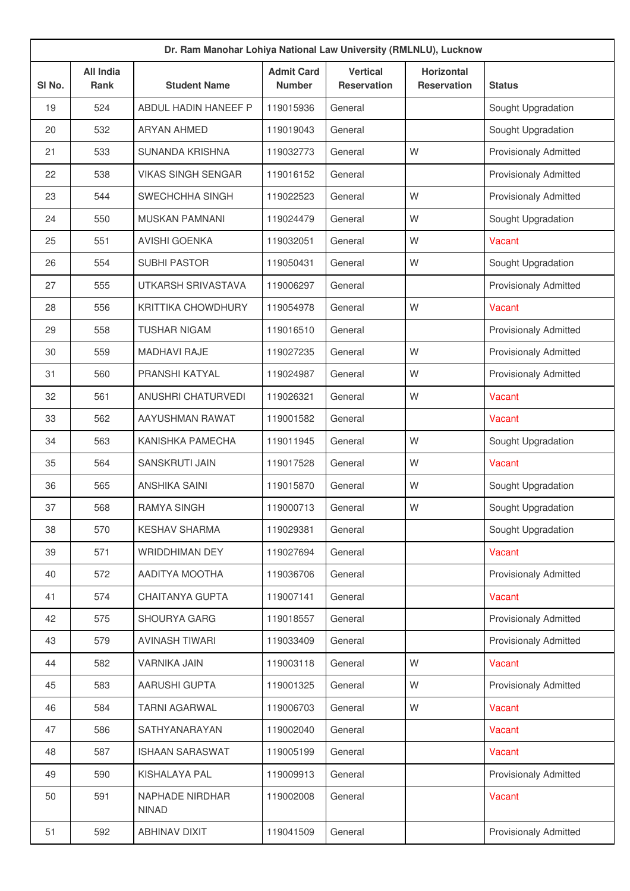| Dr. Ram Manohar Lohiya National Law University (RMLNLU), Lucknow |                                 |                                 |                                    |                                       |                                         |                              |  |
|------------------------------------------------------------------|---------------------------------|---------------------------------|------------------------------------|---------------------------------------|-----------------------------------------|------------------------------|--|
| SI <sub>No.</sub>                                                | <b>All India</b><br><b>Rank</b> | <b>Student Name</b>             | <b>Admit Card</b><br><b>Number</b> | <b>Vertical</b><br><b>Reservation</b> | <b>Horizontal</b><br><b>Reservation</b> | <b>Status</b>                |  |
| 19                                                               | 524                             | ABDUL HADIN HANEEF P            | 119015936                          | General                               |                                         | Sought Upgradation           |  |
| 20                                                               | 532                             | <b>ARYAN AHMED</b>              | 119019043                          | General                               |                                         | Sought Upgradation           |  |
| 21                                                               | 533                             | SUNANDA KRISHNA                 | 119032773                          | General                               | W                                       | <b>Provisionaly Admitted</b> |  |
| 22                                                               | 538                             | <b>VIKAS SINGH SENGAR</b>       | 119016152                          | General                               |                                         | <b>Provisionaly Admitted</b> |  |
| 23                                                               | 544                             | SWECHCHHA SINGH                 | 119022523                          | General                               | W                                       | <b>Provisionaly Admitted</b> |  |
| 24                                                               | 550                             | <b>MUSKAN PAMNANI</b>           | 119024479                          | General                               | W                                       | Sought Upgradation           |  |
| 25                                                               | 551                             | <b>AVISHI GOENKA</b>            | 119032051                          | General                               | W                                       | Vacant                       |  |
| 26                                                               | 554                             | <b>SUBHI PASTOR</b>             | 119050431                          | General                               | W                                       | Sought Upgradation           |  |
| 27                                                               | 555                             | UTKARSH SRIVASTAVA              | 119006297                          | General                               |                                         | <b>Provisionaly Admitted</b> |  |
| 28                                                               | 556                             | <b>KRITTIKA CHOWDHURY</b>       | 119054978                          | General                               | W                                       | Vacant                       |  |
| 29                                                               | 558                             | <b>TUSHAR NIGAM</b>             | 119016510                          | General                               |                                         | <b>Provisionaly Admitted</b> |  |
| 30                                                               | 559                             | <b>MADHAVI RAJE</b>             | 119027235                          | General                               | W                                       | <b>Provisionaly Admitted</b> |  |
| 31                                                               | 560                             | PRANSHI KATYAL                  | 119024987                          | General                               | W                                       | <b>Provisionaly Admitted</b> |  |
| 32                                                               | 561                             | ANUSHRI CHATURVEDI              | 119026321                          | General                               | W                                       | Vacant                       |  |
| 33                                                               | 562                             | AAYUSHMAN RAWAT                 | 119001582                          | General                               |                                         | Vacant                       |  |
| 34                                                               | 563                             | KANISHKA PAMECHA                | 119011945                          | General                               | W                                       | Sought Upgradation           |  |
| 35                                                               | 564                             | SANSKRUTI JAIN                  | 119017528                          | General                               | W                                       | Vacant                       |  |
| 36                                                               | 565                             | ANSHIKA SAINI                   | 119015870                          | General                               | W                                       | Sought Upgradation           |  |
| 37                                                               | 568                             | <b>RAMYA SINGH</b>              | 119000713                          | General                               | W                                       | Sought Upgradation           |  |
| 38                                                               | 570                             | <b>KESHAV SHARMA</b>            | 119029381                          | General                               |                                         | Sought Upgradation           |  |
| 39                                                               | 571                             | WRIDDHIMAN DEY                  | 119027694                          | General                               |                                         | Vacant                       |  |
| 40                                                               | 572                             | AADITYA MOOTHA                  | 119036706                          | General                               |                                         | <b>Provisionaly Admitted</b> |  |
| 41                                                               | 574                             | CHAITANYA GUPTA                 | 119007141                          | General                               |                                         | Vacant                       |  |
| 42                                                               | 575                             | <b>SHOURYA GARG</b>             | 119018557                          | General                               |                                         | Provisionaly Admitted        |  |
| 43                                                               | 579                             | <b>AVINASH TIWARI</b>           | 119033409                          | General                               |                                         | Provisionaly Admitted        |  |
| 44                                                               | 582                             | <b>VARNIKA JAIN</b>             | 119003118                          | General                               | W                                       | Vacant                       |  |
| 45                                                               | 583                             | AARUSHI GUPTA                   | 119001325                          | General                               | W                                       | <b>Provisionaly Admitted</b> |  |
| 46                                                               | 584                             | <b>TARNI AGARWAL</b>            | 119006703                          | General                               | W                                       | Vacant                       |  |
| 47                                                               | 586                             | SATHYANARAYAN                   | 119002040                          | General                               |                                         | Vacant                       |  |
| 48                                                               | 587                             | <b>ISHAAN SARASWAT</b>          | 119005199                          | General                               |                                         | Vacant                       |  |
| 49                                                               | 590                             | KISHALAYA PAL                   | 119009913                          | General                               |                                         | <b>Provisionaly Admitted</b> |  |
| 50                                                               | 591                             | NAPHADE NIRDHAR<br><b>NINAD</b> | 119002008                          | General                               |                                         | Vacant                       |  |
| 51                                                               | 592                             | ABHINAV DIXIT                   | 119041509                          | General                               |                                         | <b>Provisionaly Admitted</b> |  |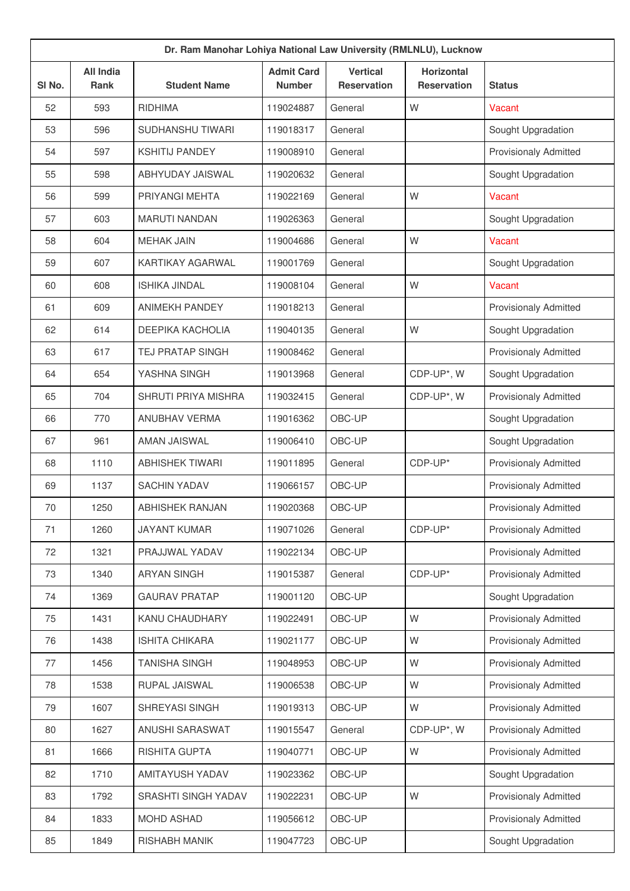| Dr. Ram Manohar Lohiya National Law University (RMLNLU), Lucknow |                                 |                         |                                    |                                       |                                         |                              |  |  |
|------------------------------------------------------------------|---------------------------------|-------------------------|------------------------------------|---------------------------------------|-----------------------------------------|------------------------------|--|--|
| SI No.                                                           | <b>All India</b><br><b>Rank</b> | <b>Student Name</b>     | <b>Admit Card</b><br><b>Number</b> | <b>Vertical</b><br><b>Reservation</b> | <b>Horizontal</b><br><b>Reservation</b> | <b>Status</b>                |  |  |
| 52                                                               | 593                             | <b>RIDHIMA</b>          | 119024887                          | General                               | W                                       | Vacant                       |  |  |
| 53                                                               | 596                             | SUDHANSHU TIWARI        | 119018317                          | General                               |                                         | Sought Upgradation           |  |  |
| 54                                                               | 597                             | <b>KSHITIJ PANDEY</b>   | 119008910                          | General                               |                                         | <b>Provisionaly Admitted</b> |  |  |
| 55                                                               | 598                             | ABHYUDAY JAISWAL        | 119020632                          | General                               |                                         | Sought Upgradation           |  |  |
| 56                                                               | 599                             | PRIYANGI MEHTA          | 119022169                          | General                               | W                                       | Vacant                       |  |  |
| 57                                                               | 603                             | <b>MARUTI NANDAN</b>    | 119026363                          | General                               |                                         | Sought Upgradation           |  |  |
| 58                                                               | 604                             | <b>MEHAK JAIN</b>       | 119004686                          | General                               | W                                       | Vacant                       |  |  |
| 59                                                               | 607                             | <b>KARTIKAY AGARWAL</b> | 119001769                          | General                               |                                         | Sought Upgradation           |  |  |
| 60                                                               | 608                             | <b>ISHIKA JINDAL</b>    | 119008104                          | General                               | W                                       | Vacant                       |  |  |
| 61                                                               | 609                             | <b>ANIMEKH PANDEY</b>   | 119018213                          | General                               |                                         | <b>Provisionaly Admitted</b> |  |  |
| 62                                                               | 614                             | DEEPIKA KACHOLIA        | 119040135                          | General                               | W                                       | Sought Upgradation           |  |  |
| 63                                                               | 617                             | <b>TEJ PRATAP SINGH</b> | 119008462                          | General                               |                                         | <b>Provisionaly Admitted</b> |  |  |
| 64                                                               | 654                             | YASHNA SINGH            | 119013968                          | General                               | CDP-UP*, W                              | Sought Upgradation           |  |  |
| 65                                                               | 704                             | SHRUTI PRIYA MISHRA     | 119032415                          | General                               | CDP-UP*, W                              | <b>Provisionaly Admitted</b> |  |  |
| 66                                                               | 770                             | ANUBHAV VERMA           | 119016362                          | OBC-UP                                |                                         | Sought Upgradation           |  |  |
| 67                                                               | 961                             | <b>AMAN JAISWAL</b>     | 119006410                          | OBC-UP                                |                                         | Sought Upgradation           |  |  |
| 68                                                               | 1110                            | <b>ABHISHEK TIWARI</b>  | 119011895                          | General                               | CDP-UP*                                 | <b>Provisionaly Admitted</b> |  |  |
| 69                                                               | 1137                            | <b>SACHIN YADAV</b>     | 119066157                          | OBC-UP                                |                                         | <b>Provisionaly Admitted</b> |  |  |
| 70                                                               | 1250                            | <b>ABHISHEK RANJAN</b>  | 119020368                          | OBC-UP                                |                                         | <b>Provisionaly Admitted</b> |  |  |
| 71                                                               | 1260                            | <b>JAYANT KUMAR</b>     | 119071026                          | General                               | CDP-UP*                                 | <b>Provisionaly Admitted</b> |  |  |
| 72                                                               | 1321                            | PRAJJWAL YADAV          | 119022134                          | OBC-UP                                |                                         | Provisionaly Admitted        |  |  |
| 73                                                               | 1340                            | <b>ARYAN SINGH</b>      | 119015387                          | General                               | CDP-UP*                                 | <b>Provisionaly Admitted</b> |  |  |
| 74                                                               | 1369                            | <b>GAURAV PRATAP</b>    | 119001120                          | OBC-UP                                |                                         | Sought Upgradation           |  |  |
| 75                                                               | 1431                            | KANU CHAUDHARY          | 119022491                          | OBC-UP                                | W                                       | <b>Provisionaly Admitted</b> |  |  |
| 76                                                               | 1438                            | <b>ISHITA CHIKARA</b>   | 119021177                          | OBC-UP                                | W                                       | Provisionaly Admitted        |  |  |
| 77                                                               | 1456                            | <b>TANISHA SINGH</b>    | 119048953                          | OBC-UP                                | W                                       | <b>Provisionaly Admitted</b> |  |  |
| 78                                                               | 1538                            | RUPAL JAISWAL           | 119006538                          | OBC-UP                                | W                                       | <b>Provisionaly Admitted</b> |  |  |
| 79                                                               | 1607                            | SHREYASI SINGH          | 119019313                          | OBC-UP                                | W                                       | <b>Provisionaly Admitted</b> |  |  |
| 80                                                               | 1627                            | ANUSHI SARASWAT         | 119015547                          | General                               | CDP-UP*, W                              | <b>Provisionaly Admitted</b> |  |  |
| 81                                                               | 1666                            | RISHITA GUPTA           | 119040771                          | OBC-UP                                | W                                       | <b>Provisionaly Admitted</b> |  |  |
| 82                                                               | 1710                            | AMITAYUSH YADAV         | 119023362                          | OBC-UP                                |                                         | Sought Upgradation           |  |  |
| 83                                                               | 1792                            | SRASHTI SINGH YADAV     | 119022231                          | OBC-UP                                | W                                       | <b>Provisionaly Admitted</b> |  |  |
| 84                                                               | 1833                            | <b>MOHD ASHAD</b>       | 119056612                          | OBC-UP                                |                                         | Provisionaly Admitted        |  |  |
| 85                                                               | 1849                            | RISHABH MANIK           | 119047723                          | OBC-UP                                |                                         | Sought Upgradation           |  |  |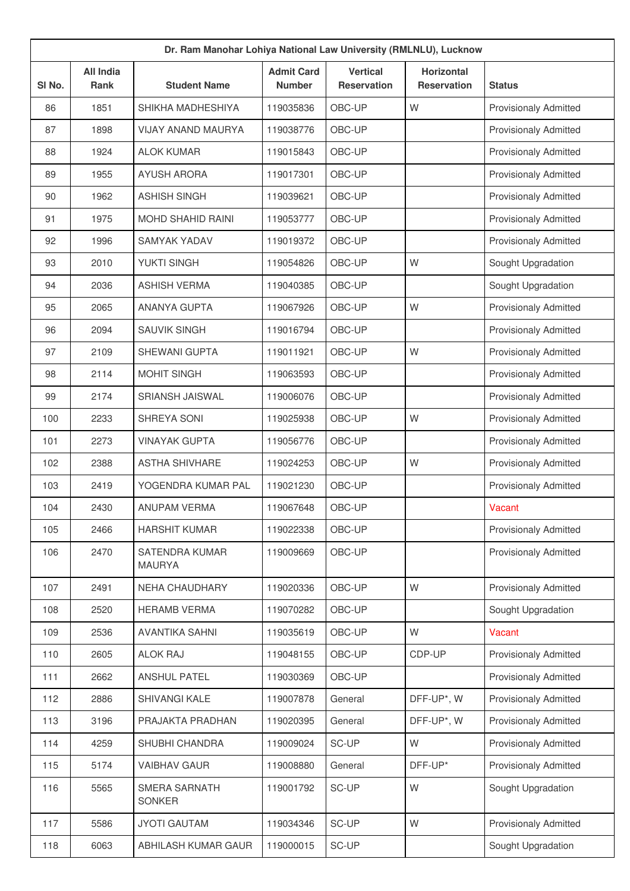|        | Dr. Ram Manohar Lohiya National Law University (RMLNLU), Lucknow |                                        |                                    |                                       |                                         |                              |  |  |  |
|--------|------------------------------------------------------------------|----------------------------------------|------------------------------------|---------------------------------------|-----------------------------------------|------------------------------|--|--|--|
| SI No. | <b>All India</b><br>Rank                                         | <b>Student Name</b>                    | <b>Admit Card</b><br><b>Number</b> | <b>Vertical</b><br><b>Reservation</b> | <b>Horizontal</b><br><b>Reservation</b> | <b>Status</b>                |  |  |  |
| 86     | 1851                                                             | SHIKHA MADHESHIYA                      | 119035836                          | OBC-UP                                | W                                       | <b>Provisionaly Admitted</b> |  |  |  |
| 87     | 1898                                                             | <b>VIJAY ANAND MAURYA</b>              | 119038776                          | OBC-UP                                |                                         | <b>Provisionaly Admitted</b> |  |  |  |
| 88     | 1924                                                             | <b>ALOK KUMAR</b>                      | 119015843                          | OBC-UP                                |                                         | <b>Provisionaly Admitted</b> |  |  |  |
| 89     | 1955                                                             | <b>AYUSH ARORA</b>                     | 119017301                          | OBC-UP                                |                                         | <b>Provisionaly Admitted</b> |  |  |  |
| 90     | 1962                                                             | <b>ASHISH SINGH</b>                    | 119039621                          | OBC-UP                                |                                         | <b>Provisionaly Admitted</b> |  |  |  |
| 91     | 1975                                                             | <b>MOHD SHAHID RAINI</b>               | 119053777                          | OBC-UP                                |                                         | <b>Provisionaly Admitted</b> |  |  |  |
| 92     | 1996                                                             | <b>SAMYAK YADAV</b>                    | 119019372                          | OBC-UP                                |                                         | <b>Provisionaly Admitted</b> |  |  |  |
| 93     | 2010                                                             | YUKTI SINGH                            | 119054826                          | OBC-UP                                | W                                       | Sought Upgradation           |  |  |  |
| 94     | 2036                                                             | <b>ASHISH VERMA</b>                    | 119040385                          | OBC-UP                                |                                         | Sought Upgradation           |  |  |  |
| 95     | 2065                                                             | <b>ANANYA GUPTA</b>                    | 119067926                          | OBC-UP                                | W                                       | <b>Provisionaly Admitted</b> |  |  |  |
| 96     | 2094                                                             | <b>SAUVIK SINGH</b>                    | 119016794                          | OBC-UP                                |                                         | <b>Provisionaly Admitted</b> |  |  |  |
| 97     | 2109                                                             | SHEWANI GUPTA                          | 119011921                          | OBC-UP                                | W                                       | <b>Provisionaly Admitted</b> |  |  |  |
| 98     | 2114                                                             | <b>MOHIT SINGH</b>                     | 119063593                          | OBC-UP                                |                                         | <b>Provisionaly Admitted</b> |  |  |  |
| 99     | 2174                                                             | <b>SRIANSH JAISWAL</b>                 | 119006076                          | OBC-UP                                |                                         | <b>Provisionaly Admitted</b> |  |  |  |
| 100    | 2233                                                             | SHREYA SONI                            | 119025938                          | OBC-UP                                | W                                       | <b>Provisionaly Admitted</b> |  |  |  |
| 101    | 2273                                                             | <b>VINAYAK GUPTA</b>                   | 119056776                          | OBC-UP                                |                                         | <b>Provisionaly Admitted</b> |  |  |  |
| 102    | 2388                                                             | <b>ASTHA SHIVHARE</b>                  | 119024253                          | OBC-UP                                | W                                       | <b>Provisionaly Admitted</b> |  |  |  |
| 103    | 2419                                                             | YOGENDRA KUMAR PAL                     | 119021230                          | OBC-UP                                |                                         | <b>Provisionaly Admitted</b> |  |  |  |
| 104    | 2430                                                             | <b>ANUPAM VERMA</b>                    | 119067648                          | OBC-UP                                |                                         | Vacant                       |  |  |  |
| 105    | 2466                                                             | <b>HARSHIT KUMAR</b>                   | 119022338                          | OBC-UP                                |                                         | <b>Provisionaly Admitted</b> |  |  |  |
| 106    | 2470                                                             | <b>SATENDRA KUMAR</b><br><b>MAURYA</b> | 119009669                          | OBC-UP                                |                                         | <b>Provisionaly Admitted</b> |  |  |  |
| 107    | 2491                                                             | NEHA CHAUDHARY                         | 119020336                          | OBC-UP                                | W                                       | <b>Provisionaly Admitted</b> |  |  |  |
| 108    | 2520                                                             | <b>HERAMB VERMA</b>                    | 119070282                          | OBC-UP                                |                                         | Sought Upgradation           |  |  |  |
| 109    | 2536                                                             | <b>AVANTIKA SAHNI</b>                  | 119035619                          | OBC-UP                                | W                                       | Vacant                       |  |  |  |
| 110    | 2605                                                             | <b>ALOK RAJ</b>                        | 119048155                          | OBC-UP                                | CDP-UP                                  | <b>Provisionaly Admitted</b> |  |  |  |
| 111    | 2662                                                             | <b>ANSHUL PATEL</b>                    | 119030369                          | OBC-UP                                |                                         | <b>Provisionaly Admitted</b> |  |  |  |
| 112    | 2886                                                             | SHIVANGI KALE                          | 119007878                          | General                               | DFF-UP*, W                              | <b>Provisionaly Admitted</b> |  |  |  |
| 113    | 3196                                                             | PRAJAKTA PRADHAN                       | 119020395                          | General                               | DFF-UP*, W                              | <b>Provisionaly Admitted</b> |  |  |  |
| 114    | 4259                                                             | SHUBHI CHANDRA                         | 119009024                          | SC-UP                                 | W                                       | <b>Provisionaly Admitted</b> |  |  |  |
| 115    | 5174                                                             | <b>VAIBHAV GAUR</b>                    | 119008880                          | General                               | DFF-UP*                                 | <b>Provisionaly Admitted</b> |  |  |  |
| 116    | 5565                                                             | SMERA SARNATH<br><b>SONKER</b>         | 119001792                          | SC-UP                                 | W                                       | Sought Upgradation           |  |  |  |
| 117    | 5586                                                             | <b>JYOTI GAUTAM</b>                    | 119034346                          | SC-UP                                 | W                                       | <b>Provisionaly Admitted</b> |  |  |  |
| 118    | 6063                                                             | ABHILASH KUMAR GAUR                    | 119000015                          | SC-UP                                 |                                         | Sought Upgradation           |  |  |  |
|        |                                                                  |                                        |                                    |                                       |                                         |                              |  |  |  |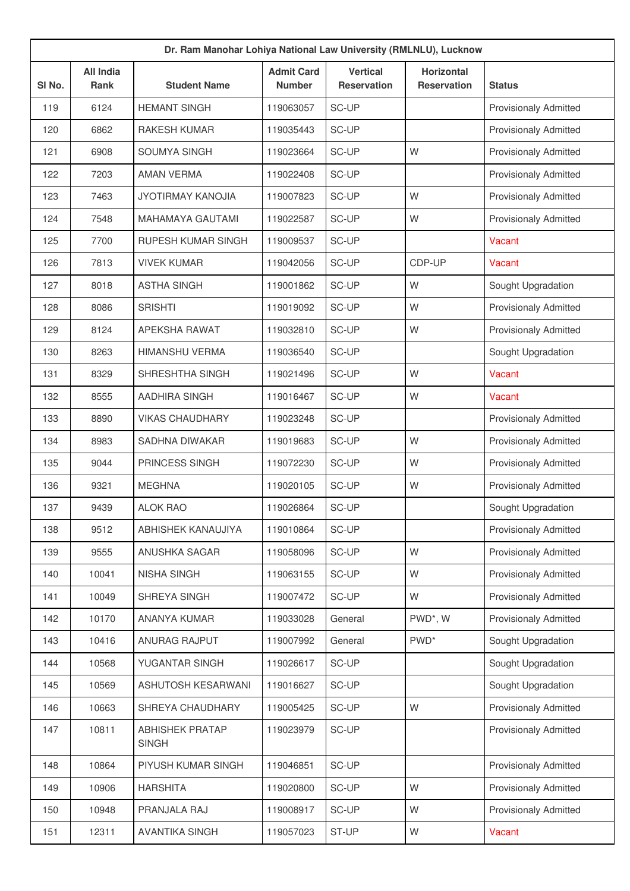| Dr. Ram Manohar Lohiya National Law University (RMLNLU), Lucknow |                                 |                                        |                                    |                                       |                                         |                              |  |  |
|------------------------------------------------------------------|---------------------------------|----------------------------------------|------------------------------------|---------------------------------------|-----------------------------------------|------------------------------|--|--|
| SI No.                                                           | <b>All India</b><br><b>Rank</b> | <b>Student Name</b>                    | <b>Admit Card</b><br><b>Number</b> | <b>Vertical</b><br><b>Reservation</b> | <b>Horizontal</b><br><b>Reservation</b> | <b>Status</b>                |  |  |
| 119                                                              | 6124                            | <b>HEMANT SINGH</b>                    | 119063057                          | SC-UP                                 |                                         | <b>Provisionaly Admitted</b> |  |  |
| 120                                                              | 6862                            | <b>RAKESH KUMAR</b>                    | 119035443                          | SC-UP                                 |                                         | <b>Provisionaly Admitted</b> |  |  |
| 121                                                              | 6908                            | SOUMYA SINGH                           | 119023664                          | SC-UP                                 | W                                       | <b>Provisionaly Admitted</b> |  |  |
| 122                                                              | 7203                            | <b>AMAN VERMA</b>                      | 119022408                          | SC-UP                                 |                                         | <b>Provisionaly Admitted</b> |  |  |
| 123                                                              | 7463                            | JYOTIRMAY KANOJIA                      | 119007823                          | SC-UP                                 | W                                       | <b>Provisionaly Admitted</b> |  |  |
| 124                                                              | 7548                            | <b>MAHAMAYA GAUTAMI</b>                | 119022587                          | SC-UP                                 | W                                       | Provisionaly Admitted        |  |  |
| 125                                                              | 7700                            | RUPESH KUMAR SINGH                     | 119009537                          | SC-UP                                 |                                         | Vacant                       |  |  |
| 126                                                              | 7813                            | <b>VIVEK KUMAR</b>                     | 119042056                          | SC-UP                                 | CDP-UP                                  | Vacant                       |  |  |
| 127                                                              | 8018                            | <b>ASTHA SINGH</b>                     | 119001862                          | SC-UP                                 | W                                       | Sought Upgradation           |  |  |
| 128                                                              | 8086                            | <b>SRISHTI</b>                         | 119019092                          | SC-UP                                 | W                                       | <b>Provisionaly Admitted</b> |  |  |
| 129                                                              | 8124                            | APEKSHA RAWAT                          | 119032810                          | SC-UP                                 | W                                       | <b>Provisionaly Admitted</b> |  |  |
| 130                                                              | 8263                            | <b>HIMANSHU VERMA</b>                  | 119036540                          | SC-UP                                 |                                         | Sought Upgradation           |  |  |
| 131                                                              | 8329                            | SHRESHTHA SINGH                        | 119021496                          | SC-UP                                 | W                                       | Vacant                       |  |  |
| 132                                                              | 8555                            | AADHIRA SINGH                          | 119016467                          | SC-UP                                 | W                                       | Vacant                       |  |  |
| 133                                                              | 8890                            | <b>VIKAS CHAUDHARY</b>                 | 119023248                          | SC-UP                                 |                                         | <b>Provisionaly Admitted</b> |  |  |
| 134                                                              | 8983                            | SADHNA DIWAKAR                         | 119019683                          | SC-UP                                 | W                                       | <b>Provisionaly Admitted</b> |  |  |
| 135                                                              | 9044                            | PRINCESS SINGH                         | 119072230                          | SC-UP                                 | W                                       | <b>Provisionaly Admitted</b> |  |  |
| 136                                                              | 9321                            | <b>MEGHNA</b>                          | 119020105                          | SC-UP                                 | W                                       | <b>Provisionaly Admitted</b> |  |  |
| 137                                                              | 9439                            | <b>ALOK RAO</b>                        | 119026864                          | SC-UP                                 |                                         | Sought Upgradation           |  |  |
| 138                                                              | 9512                            | ABHISHEK KANAUJIYA                     | 119010864                          | SC-UP                                 |                                         | <b>Provisionaly Admitted</b> |  |  |
| 139                                                              | 9555                            | ANUSHKA SAGAR                          | 119058096                          | SC-UP                                 | W                                       | <b>Provisionaly Admitted</b> |  |  |
| 140                                                              | 10041                           | <b>NISHA SINGH</b>                     | 119063155                          | SC-UP                                 | W                                       | <b>Provisionaly Admitted</b> |  |  |
| 141                                                              | 10049                           | SHREYA SINGH                           | 119007472                          | SC-UP                                 | W                                       | <b>Provisionaly Admitted</b> |  |  |
| 142                                                              | 10170                           | <b>ANANYA KUMAR</b>                    | 119033028                          | General                               | PWD*, W                                 | <b>Provisionaly Admitted</b> |  |  |
| 143                                                              | 10416                           | ANURAG RAJPUT                          | 119007992                          | General                               | PWD <sup>*</sup>                        | Sought Upgradation           |  |  |
| 144                                                              | 10568                           | YUGANTAR SINGH                         | 119026617                          | SC-UP                                 |                                         | Sought Upgradation           |  |  |
| 145                                                              | 10569                           | ASHUTOSH KESARWANI                     | 119016627                          | SC-UP                                 |                                         | Sought Upgradation           |  |  |
| 146                                                              | 10663                           | SHREYA CHAUDHARY                       | 119005425                          | SC-UP                                 | W                                       | <b>Provisionaly Admitted</b> |  |  |
| 147                                                              | 10811                           | <b>ABHISHEK PRATAP</b><br><b>SINGH</b> | 119023979                          | SC-UP                                 |                                         | <b>Provisionaly Admitted</b> |  |  |
| 148                                                              | 10864                           | PIYUSH KUMAR SINGH                     | 119046851                          | SC-UP                                 |                                         | <b>Provisionaly Admitted</b> |  |  |
| 149                                                              | 10906                           | <b>HARSHITA</b>                        | 119020800                          | SC-UP                                 | W                                       | <b>Provisionaly Admitted</b> |  |  |
| 150                                                              | 10948                           | PRANJALA RAJ                           | 119008917                          | SC-UP                                 | W                                       | <b>Provisionaly Admitted</b> |  |  |
| 151                                                              | 12311                           | <b>AVANTIKA SINGH</b>                  | 119057023                          | ST-UP                                 | W                                       | Vacant                       |  |  |